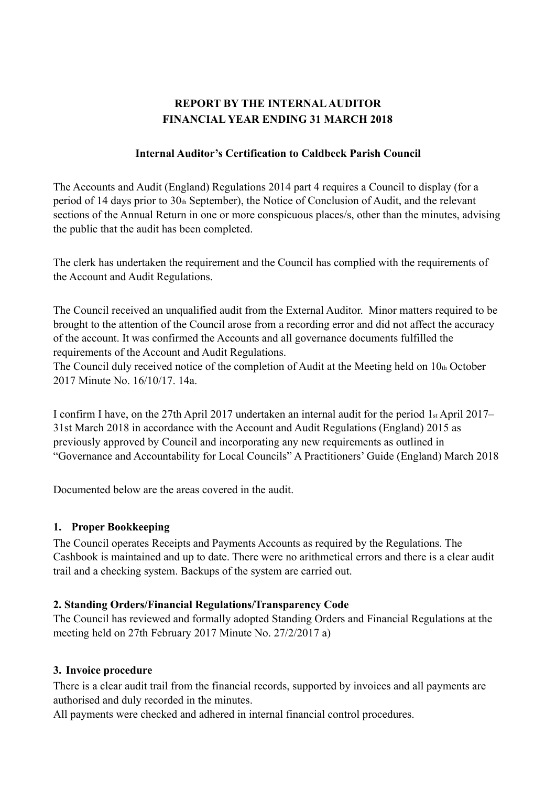# **REPORT BY THE INTERNAL AUDITOR FINANCIAL YEAR ENDING 31 MARCH 2018**

#### **Internal Auditor's Certification to Caldbeck Parish Council**

 The Accounts and Audit (England) Regulations 2014 part 4 requires a Council to display (for a period of 14 days prior to 30th September), the Notice of Conclusion of Audit, and the relevant sections of the Annual Return in one or more conspicuous places/s, other than the minutes, advising the public that the audit has been completed.

The clerk has undertaken the requirement and the Council has complied with the requirements of the Account and Audit Regulations.

The Council received an unqualified audit from the External Auditor. Minor matters required to be brought to the attention of the Council arose from a recording error and did not affect the accuracy of the account. It was confirmed the Accounts and all governance documents fulfilled the requirements of the Account and Audit Regulations.

The Council duly received notice of the completion of Audit at the Meeting held on  $10<sub>th</sub>$  October 2017 Minute No. 16/10/17. 14a.

I confirm I have, on the 27th April 2017 undertaken an internal audit for the period 1st April 2017– 31st March 2018 in accordance with the Account and Audit Regulations (England) 2015 as previously approved by Council and incorporating any new requirements as outlined in "Governance and Accountability for Local Councils" A Practitioners' Guide (England) March 2018

Documented below are the areas covered in the audit.

### **1. Proper Bookkeeping**

The Council operates Receipts and Payments Accounts as required by the Regulations. The Cashbook is maintained and up to date. There were no arithmetical errors and there is a clear audit trail and a checking system. Backups of the system are carried out.

### **2. Standing Orders/Financial Regulations/Transparency Code**

The Council has reviewed and formally adopted Standing Orders and Financial Regulations at the meeting held on 27th February 2017 Minute No. 27/2/2017 a)

### **3. Invoice procedure**

There is a clear audit trail from the financial records, supported by invoices and all payments are authorised and duly recorded in the minutes.

All payments were checked and adhered in internal financial control procedures.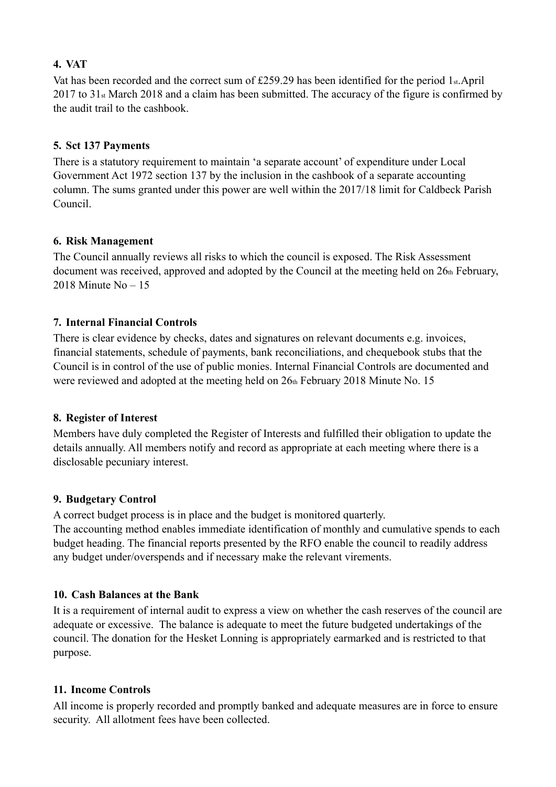## **4. VAT**

Vat has been recorded and the correct sum of  $£259.29$  has been identified for the period 1<sub>st</sub>.April 2017 to 31<sub>st</sub> March 2018 and a claim has been submitted. The accuracy of the figure is confirmed by the audit trail to the cashbook.

## **5. Sct 137 Payments**

There is a statutory requirement to maintain 'a separate account' of expenditure under Local Government Act 1972 section 137 by the inclusion in the cashbook of a separate accounting column. The sums granted under this power are well within the 2017/18 limit for Caldbeck Parish Council.

## **6. Risk Management**

The Council annually reviews all risks to which the council is exposed. The Risk Assessment document was received, approved and adopted by the Council at the meeting held on  $26<sub>th</sub>$  February, 2018 Minute No – 15

## **7. Internal Financial Controls**

There is clear evidence by checks, dates and signatures on relevant documents e.g. invoices, financial statements, schedule of payments, bank reconciliations, and chequebook stubs that the Council is in control of the use of public monies. Internal Financial Controls are documented and were reviewed and adopted at the meeting held on 26th February 2018 Minute No. 15

### **8. Register of Interest**

Members have duly completed the Register of Interests and fulfilled their obligation to update the details annually. All members notify and record as appropriate at each meeting where there is a disclosable pecuniary interest.

### **9. Budgetary Control**

A correct budget process is in place and the budget is monitored quarterly.

The accounting method enables immediate identification of monthly and cumulative spends to each budget heading. The financial reports presented by the RFO enable the council to readily address any budget under/overspends and if necessary make the relevant virements.

### **10. Cash Balances at the Bank**

It is a requirement of internal audit to express a view on whether the cash reserves of the council are adequate or excessive. The balance is adequate to meet the future budgeted undertakings of the council. The donation for the Hesket Lonning is appropriately earmarked and is restricted to that purpose.

### **11. Income Controls**

All income is properly recorded and promptly banked and adequate measures are in force to ensure security. All allotment fees have been collected.